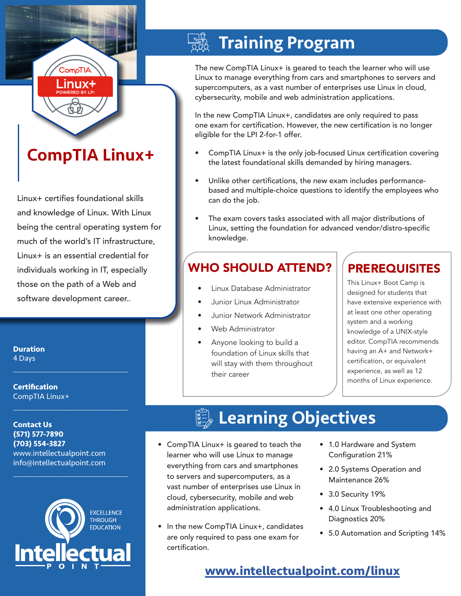# CompTIA Linux+

**CompTIA** .inux+

Linux+ certifies foundational skills and knowledge of Linux. With Linux being the central operating system for much of the world's IT infrastructure, Linux+ is an essential credential for individuals working in IT, especially those on the path of a Web and software development career..

**Duration** 4 Days

**Certification** CompTIA Linux+

**Contact Us (571) 577-7890 (703) 554-3827** www.intellectualpoint.com info@intellectualpoint.com

 $\mathcal{L}_\text{max}$  , and the set of the set of the set of the set of the set of the set of the set of the set of the set of the set of the set of the set of the set of the set of the set of the set of the set of the set of the

 $\mathcal{L}_\text{max}$  and  $\mathcal{L}_\text{max}$  and  $\mathcal{L}_\text{max}$  and  $\mathcal{L}_\text{max}$ 



 $\mathcal{L}_\text{max}$  and  $\mathcal{L}_\text{max}$  and  $\mathcal{L}_\text{max}$  and  $\mathcal{L}_\text{max}$ 

# **Training Program**

The new CompTIA Linux+ is geared to teach the learner who will use Linux to manage everything from cars and smartphones to servers and supercomputers, as a vast number of enterprises use Linux in cloud, cybersecurity, mobile and web administration applications.

In the new CompTIA Linux+, candidates are only required to pass one exam for certification. However, the new certification is no longer eligible for the LPI 2-for-1 offer.

- CompTIA Linux+ is the only job-focused Linux certification covering the latest foundational skills demanded by hiring managers.
- Unlike other certifications, the new exam includes performancebased and multiple-choice questions to identify the employees who can do the job.
- The exam covers tasks associated with all major distributions of Linux, setting the foundation for advanced vendor/distro-specific knowledge.

## WHO SHOULD ATTEND?

- Linux Database Administrator
- Junior Linux Administrator
- Junior Network Administrator
- Web Administrator
- Anyone looking to build a foundation of Linux skills that will stay with them throughout their career

### PREREQUISITES

This Linux+ Boot Camp is designed for students that have extensive experience with at least one other operating system and a working knowledge of a UNIX-style editor. CompTIA recommends having an A+ and Network+ certification, or equivalent experience, as well as 12 months of Linux experience.

## **Learning Objectives**

- CompTIA Linux+ is geared to teach the learner who will use Linux to manage everything from cars and smartphones to servers and supercomputers, as a vast number of enterprises use Linux in cloud, cybersecurity, mobile and web administration applications.
- In the new CompTIA Linux+, candidates are only required to pass one exam for certification.
- 1.0 Hardware and System Configuration 21%
- 2.0 Systems Operation and Maintenance 26%
- 3.0 Security 19%
- 4.0 Linux Troubleshooting and Diagnostics 20%
- 5.0 Automation and Scripting 14%

### **www.[intellectualpoint.com/](https://www.intellectualpoint.com/product/comptia-linux/)linux**